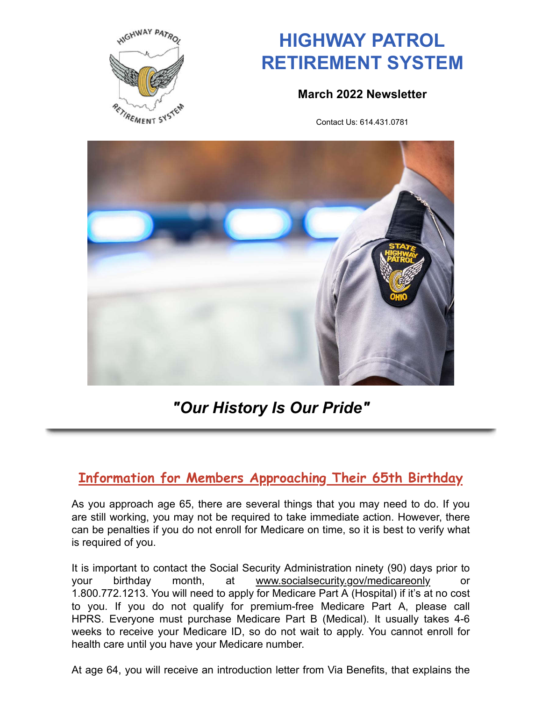

# **HIGHWAY PATROL RETIREMENT SYSTEM**

### **March 2022 Newsletter**

Contact Us: 614.431.0781



# *"Our History Is Our Pride"*

# **Information for Members Approaching Their 65th Birthday**

As you approach age 65, there are several things that you may need to do. If you are still working, you may not be required to take immediate action. However, there can be penalties if you do not enroll for Medicare on time, so it is best to verify what is required of you.

It is important to contact the Social Security Administration ninety (90) days prior to your birthday month, at www.socialsecurity.gov/medicareonly or 1.800.772.1213. You will need to apply for Medicare Part A (Hospital) if it's at no cost to you. If you do not qualify for premium-free Medicare Part A, please call HPRS. Everyone must purchase Medicare Part B (Medical). It usually takes 4-6 weeks to receive your Medicare ID, so do not wait to apply. You cannot enroll for health care until you have your Medicare number.

At age 64, you will receive an introduction letter from Via Benefits, that explains the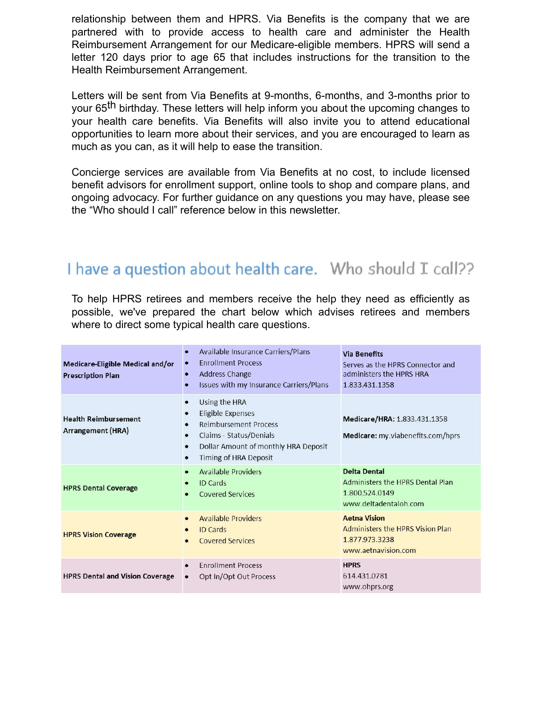relationship between them and HPRS. Via Benefits is the company that we are partnered with to provide access to health care and administer the Health Reimbursement Arrangement for our Medicare-eligible members. HPRS will send a letter 120 days prior to age 65 that includes instructions for the transition to the Health Reimbursement Arrangement.

Letters will be sent from Via Benefits at 9-months, 6-months, and 3-months prior to your 65<sup>th</sup> birthday. These letters will help inform you about the upcoming changes to your health care benefits. Via Benefits will also invite you to attend educational opportunities to learn more about their services, and you are encouraged to learn as much as you can, as it will help to ease the transition.

Concierge services are available from Via Benefits at no cost, to include licensed benefit advisors for enrollment support, online tools to shop and compare plans, and ongoing advocacy. For further guidance on any questions you may have, please see the "Who should I call" reference below in this newsletter.

# I have a question about health care. Who should I call??

To help HPRS retirees and members receive the help they need as efficiently as possible, we've prepared the chart below which advises retirees and members where to direct some typical health care questions.

| Medicare-Eligible Medical and/or<br><b>Prescription Plan</b> | Available Insurance Carriers/Plans<br>$\bullet$<br><b>Enrollment Process</b><br><b>Address Change</b><br>$\bullet$<br>Issues with my Insurance Carriers/Plans<br>$\bullet$                                              | <b>Via Benefits</b><br>Serves as the HPRS Connector and<br>administers the HPRS HRA<br>1.833.431.1358 |
|--------------------------------------------------------------|-------------------------------------------------------------------------------------------------------------------------------------------------------------------------------------------------------------------------|-------------------------------------------------------------------------------------------------------|
| <b>Health Reimbursement</b><br><b>Arrangement (HRA)</b>      | Using the HRA<br>$\bullet$<br>Eligible Expenses<br>$\bullet$<br><b>Reimbursement Process</b><br>Claims - Status/Denials<br>٠<br>Dollar Amount of monthly HRA Deposit<br>$\bullet$<br>Timing of HRA Deposit<br>$\bullet$ | Medicare/HRA: 1.833.431.1358<br>Medicare: my.viabenefits.com/hprs                                     |
| <b>HPRS Dental Coverage</b>                                  | <b>Available Providers</b><br>$\bullet$<br><b>ID Cards</b><br><b>Covered Services</b>                                                                                                                                   | <b>Delta Dental</b><br>Administers the HPRS Dental Plan<br>1.800.524.0149<br>www.deltadentaloh.com    |
| <b>HPRS Vision Coverage</b>                                  | <b>Available Providers</b><br>$\bullet$<br><b>ID Cards</b><br><b>Covered Services</b>                                                                                                                                   | <b>Aetna Vision</b><br>Administers the HPRS Vision Plan<br>1.877.973.3238<br>www.aetnavision.com      |
| <b>HPRS Dental and Vision Coverage</b>                       | <b>Enrollment Process</b><br>$\bullet$<br>Opt In/Opt Out Process<br>٠                                                                                                                                                   | <b>HPRS</b><br>614.431.0781<br>www.ohprs.org                                                          |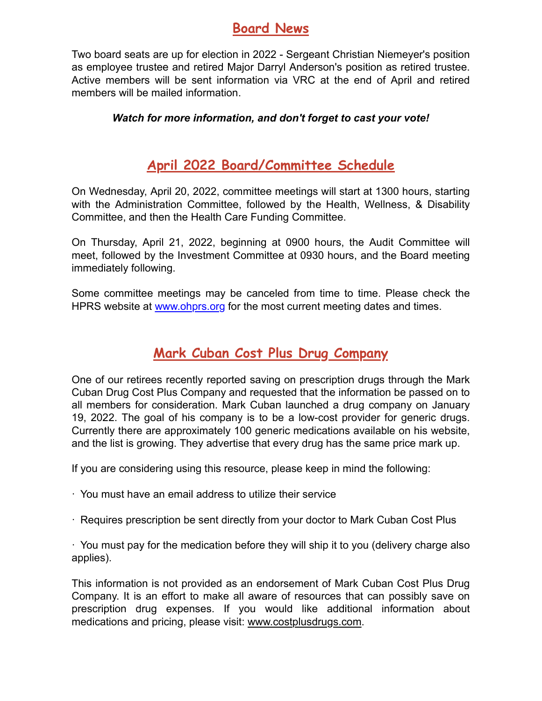# **Board News**

Two board seats are up for election in 2022 - Sergeant Christian Niemeyer's position as employee trustee and retired Major Darryl Anderson's position as retired trustee. Active members will be sent information via VRC at the end of April and retired members will be mailed information.

#### *Watch for more information, and don't forget to cast your vote!*

# **April 2022 Board/Committee Schedule**

On Wednesday, April 20, 2022, committee meetings will start at 1300 hours, starting with the Administration Committee, followed by the Health, Wellness, & Disability Committee, and then the Health Care Funding Committee.

On Thursday, April 21, 2022, beginning at 0900 hours, the Audit Committee will meet, followed by the Investment Committee at 0930 hours, and the Board meeting immediately following.

Some committee meetings may be canceled from time to time. Please check the HPRS website at www.ohprs.org for the most current meeting dates and times.

# **Mark Cuban Cost Plus Drug Company**

One of our retirees recently reported saving on prescription drugs through the Mark Cuban Drug Cost Plus Company and requested that the information be passed on to all members for consideration. Mark Cuban launched a drug company on January 19, 2022. The goal of his company is to be a low-cost provider for generic drugs. Currently there are approximately 100 generic medications available on his website, and the list is growing. They advertise that every drug has the same price mark up.

If you are considering using this resource, please keep in mind the following:

- · You must have an email address to utilize their service
- · Requires prescription be sent directly from your doctor to Mark Cuban Cost Plus

· You must pay for the medication before they will ship it to you (delivery charge also applies).

This information is not provided as an endorsement of Mark Cuban Cost Plus Drug Company. It is an effort to make all aware of resources that can possibly save on prescription drug expenses. If you would like additional information about medications and pricing, please visit: www.costplusdrugs.com.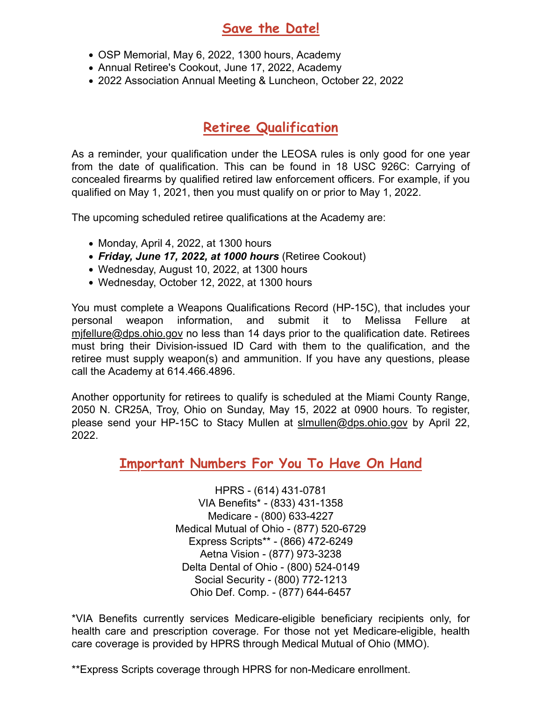## **Save the Date!**

- OSP Memorial, May 6, 2022, 1300 hours, Academy
- Annual Retiree's Cookout, June 17, 2022, Academy
- 2022 Association Annual Meeting & Luncheon, October 22, 2022

# **Retiree Qualification**

As a reminder, your qualification under the LEOSA rules is only good for one year from the date of qualification. This can be found in 18 USC 926C: Carrying of concealed firearms by qualified retired law enforcement officers. For example, if you qualified on May 1, 2021, then you must qualify on or prior to May 1, 2022.

The upcoming scheduled retiree qualifications at the Academy are:

- $\bullet$  Monday, April 4, 2022, at 1300 hours
- *Friday, June 17, 2022, at 1000 hours* (Retiree Cookout)
- Wednesday, August 10, 2022, at 1300 hours
- Wednesday, October 12, 2022, at 1300 hours

You must complete a Weapons Qualifications Record (HP-15C), that includes your personal weapon information, and submit it to Melissa Fellure at mjfellure@dps.ohio.gov no less than 14 days prior to the qualification date. Retirees must bring their Division-issued ID Card with them to the qualification, and the retiree must supply weapon(s) and ammunition. If you have any questions, please call the Academy at 614.466.4896.

Another opportunity for retirees to qualify is scheduled at the Miami County Range, 2050 N. CR25A, Troy, Ohio on Sunday, May 15, 2022 at 0900 hours. To register, please send your HP-15C to Stacy Mullen at slmullen@dps.ohio.gov by April 22, 2022.

### **Important Numbers For You To Have On Hand**

HPRS - (614) 431-0781 VIA Benefits\* - (833) 431-1358 Medicare - (800) 633-4227 Medical Mutual of Ohio - (877) 520-6729 Express Scripts\*\* - (866) 472-6249 Aetna Vision - (877) 973-3238 Delta Dental of Ohio - (800) 524-0149 Social Security - (800) 772-1213 Ohio Def. Comp. - (877) 644-6457

\*VIA Benefits currently services Medicare-eligible beneficiary recipients only, for health care and prescription coverage. For those not yet Medicare-eligible, health care coverage is provided by HPRS through Medical Mutual of Ohio (MMO).

<sup>\*\*</sup>Express Scripts coverage through HPRS for non-Medicare enrollment.